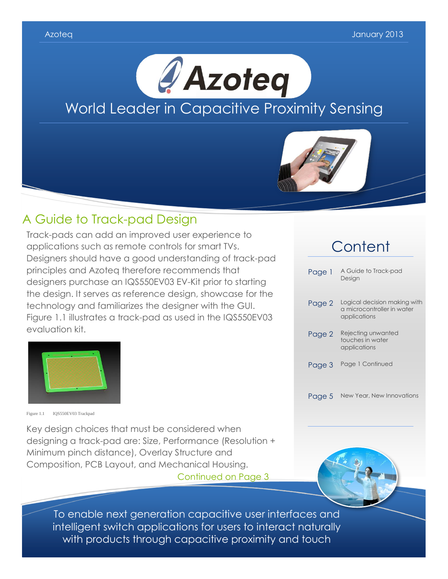



### A Guide to Track-pad Design

Track-pads can add an improved user experience to applications such as remote controls for smart TVs. Designers should have a good understanding of track-pad principles and Azoteq therefore recommends that designers purchase an IQS550EV03 EV-Kit prior to starting the design. It serves as reference design, showcase for the technology and familiarizes the designer with the GUI. Figure 1.1 illustrates a track-pad as used in the IQS550EV03 evaluation kit.



Figure 1.1 IQS550EV03 Trackpad

Key design choices that must be considered when designing a track-pad are: Size, Performance (Resolution + Minimum pinch distance), Overlay Structure and Composition, PCB Layout, and Mechanical Housing.

Continued on Page 3

# **Content**

| Page 1 | A Guide to Track-pad<br>Design                                             |
|--------|----------------------------------------------------------------------------|
| Page 2 | Logical decision making with<br>a microcontroller in water<br>applications |
| Page 2 | Rejecting unwanted<br>touches in water<br>applications                     |
| Page 3 | Page 1 Continued                                                           |
| Page 5 | New Year, New Innovations                                                  |

To enable next generation capacitive user interfaces and intelligent switch applications for users to interact naturally with products through capacitive proximity and touch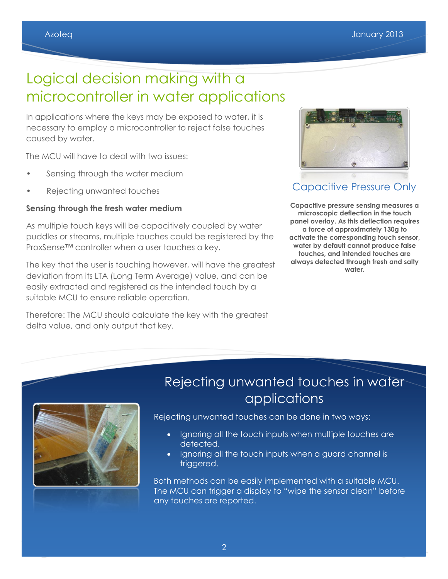# Logical decision making with a microcontroller in water applications

In applications where the keys may be exposed to water, it is necessary to employ a microcontroller to reject false touches caused by water.

The MCU will have to deal with two issues:

- Sensing through the water medium
- Rejecting unwanted touches

#### **Sensing through the fresh water medium**

As multiple touch keys will be capacitively coupled by water puddles or streams, multiple touches could be registered by the ProxSense™ controller when a user touches a key.

The key that the user is touching however, will have the greatest deviation from its LTA (Long Term Average) value, and can be easily extracted and registered as the intended touch by a suitable MCU to ensure reliable operation.

Therefore: The MCU should calculate the key with the greatest delta value, and only output that key.



### Capacitive Pressure Only

**Capacitive pressure sensing measures a microscopic deflection in the touch panel overlay. As this deflection requires a force of approximately 130g to activate the corresponding touch sensor, water by default cannot produce false touches, and intended touches are always detected through fresh and salty water.**



### Rejecting unwanted touches in water applications

Rejecting unwanted touches can be done in two ways:

- Ignoring all the touch inputs when multiple touches are detected.
- Ignoring all the touch inputs when a guard channel is triggered.

Both methods can be easily implemented with a suitable MCU. The MCU can trigger a display to "wipe the sensor clean" before any touches are reported.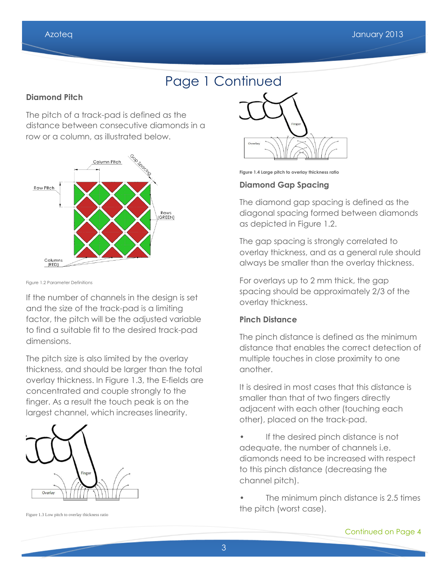## Page 1 Continued

#### **Diamond Pitch**

The pitch of a track-pad is defined as the distance between consecutive diamonds in a row or a column, as illustrated below.



Figure 1.2 Parameter Definitions

If the number of channels in the design is set and the size of the track-pad is a limiting factor, the pitch will be the adjusted variable to find a suitable fit to the desired track-pad dimensions.

The pitch size is also limited by the overlay thickness, and should be larger than the total overlay thickness. In Figure 1.3, the E-fields are concentrated and couple strongly to the finger. As a result the touch peak is on the largest channel, which increases linearity.



Figure 1.3 Low pitch to overlay thickness ratio



**Figure 1.4 Large pitch to overlay thickness ratio**

#### **Diamond Gap Spacing**

The diamond gap spacing is defined as the diagonal spacing formed between diamonds as depicted in Figure 1.2.

The gap spacing is strongly correlated to overlay thickness, and as a general rule should always be smaller than the overlay thickness.

For overlays up to 2 mm thick, the gap spacing should be approximately 2/3 of the overlay thickness.

#### **Pinch Distance**

The pinch distance is defined as the minimum distance that enables the correct detection of multiple touches in close proximity to one another.

It is desired in most cases that this distance is smaller than that of two fingers directly adjacent with each other (touching each other), placed on the track-pad.

• If the desired pinch distance is not adequate, the number of channels i.e. diamonds need to be increased with respect to this pinch distance (decreasing the channel pitch).

The minimum pinch distance is 2.5 times the pitch (worst case).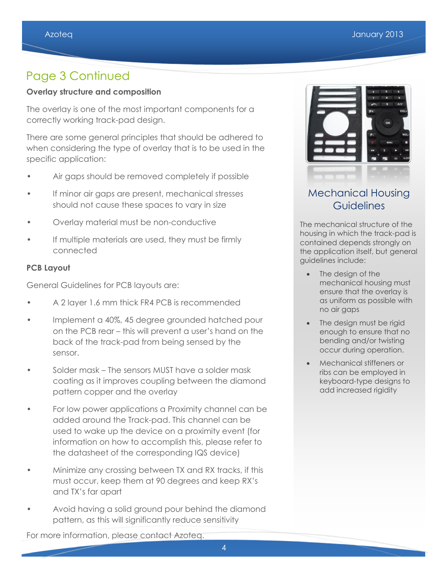### Page 3 Continued

#### **Overlay structure and composition**

The overlay is one of the most important components for a correctly working track-pad design.

There are some general principles that should be adhered to when considering the type of overlay that is to be used in the specific application:

- Air gaps should be removed completely if possible
- If minor air gaps are present, mechanical stresses should not cause these spaces to vary in size
- Overlay material must be non-conductive
- If multiple materials are used, they must be firmly connected

#### **PCB Layout**

General Guidelines for PCB layouts are:

- A 2 layer 1.6 mm thick FR4 PCB is recommended
- Implement a 40%, 45 degree grounded hatched pour on the PCB rear – this will prevent a user's hand on the back of the track-pad from being sensed by the sensor.
- Solder mask The sensors MUST have a solder mask coating as it improves coupling between the diamond pattern copper and the overlay
- For low power applications a Proximity channel can be added around the Track-pad. This channel can be used to wake up the device on a proximity event (for information on how to accomplish this, please refer to the datasheet of the corresponding IQS device)
- Minimize any crossing between TX and RX tracks, if this must occur, keep them at 90 degrees and keep RX's and TX's far apart
- Avoid having a solid ground pour behind the diamond pattern, as this will significantly reduce sensitivity



### Mechanical Housing **Guidelines**

The mechanical structure of the housing in which the track-pad is contained depends strongly on the application itself, but general guidelines include:

- The design of the mechanical housing must ensure that the overlay is as uniform as possible with no air gaps
- The design must be rigid enough to ensure that no bending and/or twisting occur during operation.
- Mechanical stiffeners or ribs can be employed in keyboard-type designs to add increased rigidity

For more information, please contact Azoteq.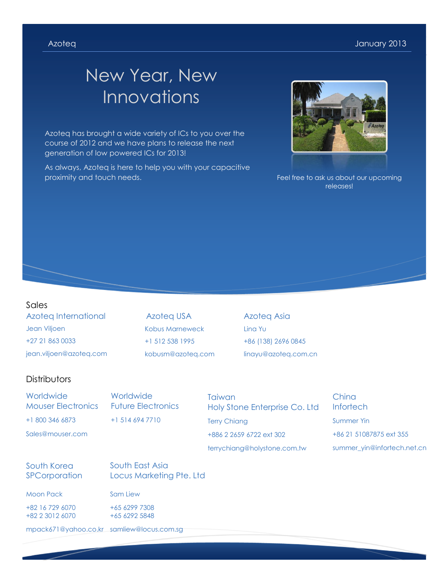# New Year, New Innovations

Azoteq has brought a wide variety of ICs to you over the course of 2012 and we have plans to release the next generation of low powered ICs for 2013!

As always, Azoteq is here to help you with your capacitive proximity and touch needs.



Feel free to ask us about our upcoming releases!

#### Sales

Azoteq International Jean Viljoen +27 21 863 0033 jean.viljoen@azoteq.com

Azoteq USA Kobus Marneweck +1 512 538 1995 kobusm@azoteq.com

Azoteq Asia Lina Yu +86 (138) 2696 0845 linayu@azoteq.com.cn

#### **Distributors**

**Worldwide** Mouser Electronics +1 800 346 6873

Sales@mouser.com

**Worldwide** Future Electronics +1 514 694 7710

**Taiwan** Holy Stone Enterprise Co. Ltd Terry Chiang +886 2 2659 6722 ext 302 terrychiang@holystone.com.tw

China **Infortech** Summer Yin +86 21 51087875 ext 355 summer\_yin@infortech.net.cn

#### South Korea **SPCorporation**

South East Asia Locus Marketing Pte. Ltd

Moon Pack

+82 16 729 6070 +82 2 3012 6070 Sam Liew +65 6299 7308 +65 6292 5848

mpack671@yahoo.co.kr samliew@locus.com.sg